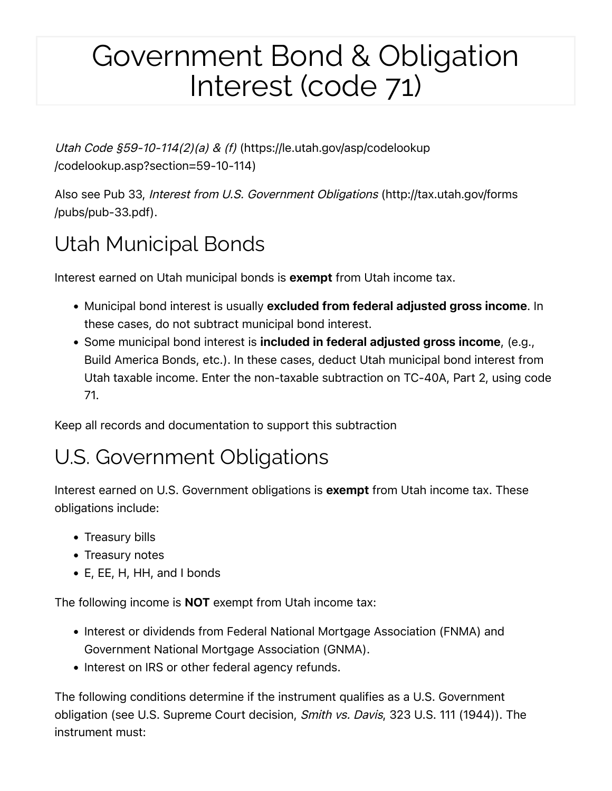## Government Bond & Obligation Interest (code 71)

[Utah Code §59-10-114\(2\)\(a\) & \(f\)](https://le.utah.gov/asp/codelookup/codelookup.asp?section=59-10-114) [\(https://le.utah.gov/asp/codelookup](https://le.utah.gov/asp/codelookup/codelookup.asp?section=59-10-114) /codelookup.asp?[section=59-10-114\)](https://le.utah.gov/asp/codelookup/codelookup.asp?section=59-10-114)

Also see [Pub 33,](http://tax.utah.gov/forms/pubs/pub-33.pdf) [Interest from U.S. Government Obligations](http://tax.utah.gov/forms/pubs/pub-33.pdf) [\(http://tax.utah.gov/forms](http://tax.utah.gov/forms/pubs/pub-33.pdf) [/pubs/pub-33.pdf\)](http://tax.utah.gov/forms/pubs/pub-33.pdf).

## Utah Municipal Bonds

Interest earned on Utah municipal bonds is **exempt** from Utah income tax.

- Municipal bond interest is usually excluded from federal adjusted gross income. In these cases, do not subtract municipal bond interest.
- Some municipal bond interest is included in federal adjusted gross income, (e.g., Build America Bonds, etc.). In these cases, deduct Utah municipal bond interest from Utah taxable income. Enter the non-taxable subtraction on TC-40A, Part 2, using code 71.

Keep all records and documentation to support this subtraction

## U.S. Government Obligations

Interest earned on U.S. Government obligations is **exempt** from Utah income tax. These obligations include:

- Treasury bills
- Treasury notes
- E, EE, H, HH, and I bonds

The following income is **NOT** exempt from Utah income tax:

- Interest or dividends from Federal National Mortgage Association (FNMA) and Government National Mortgage Association (GNMA).
- Interest on IRS or other federal agency refunds.

The following conditions determine if the instrument qualifies as a U.S. Government obligation (see U.S. Supreme Court decision, Smith vs. Davis, 323 U.S. 111 (1944)). The instrument must: